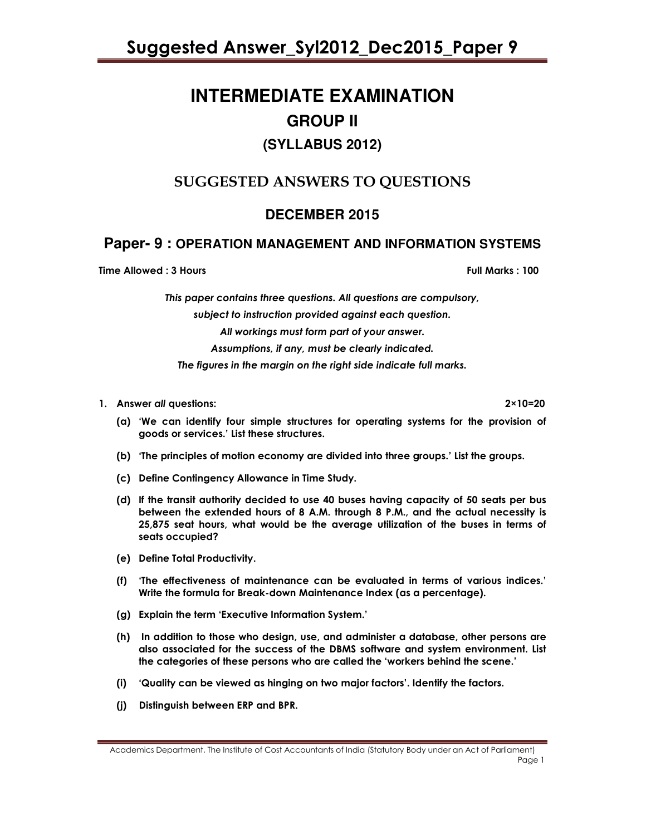# **INTERMEDIATE EXAMINATION GROUP II (SYLLABUS 2012)**

# SUGGESTED ANSWERS TO QUESTIONS

# **DECEMBER 2015**

# **Paper- 9 : OPERATION MANAGEMENT AND INFORMATION SYSTEMS**

Time Allowed : 3 Hours Full Marks : 100

This paper contains three questions. All questions are compulsory, subject to instruction provided against each question. All workings must form part of your answer.

Assumptions, if any, must be clearly indicated.

The figures in the margin on the right side indicate full marks.

# 1. Answer all questions: 2×10=20

- (a) 'We can identify four simple structures for operating systems for the provision of goods or services.' List these structures.
- (b) 'The principles of motion economy are divided into three groups.' List the groups.
- (c) Define Contingency Allowance in Time Study.
- (d) If the transit authority decided to use 40 buses having capacity of 50 seats per bus between the extended hours of 8 A.M. through 8 P.M., and the actual necessity is 25,875 seat hours, what would be the average utilization of the buses in terms of seats occupied?
- (e) Define Total Productivity.
- (f) 'The effectiveness of maintenance can be evaluated in terms of various indices.' Write the formula for Break-down Maintenance Index (as a percentage).
- (g) Explain the term 'Executive Information System.'
- (h) In addition to those who design, use, and administer a database, other persons are also associated for the success of the DBMS software and system environment. List the categories of these persons who are called the 'workers behind the scene.'
- (i) 'Quality can be viewed as hinging on two major factors'. Identify the factors.
- (j) Distinguish between ERP and BPR.

Academics Department, The Institute of Cost Accountants of India (Statutory Body under an Act of Parliament) Page 1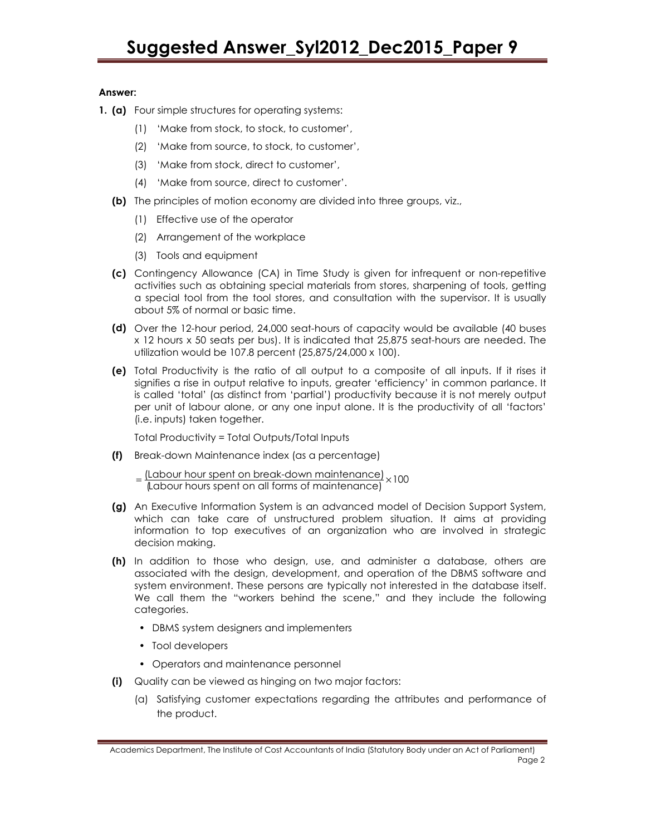# Answer:

- **1. (a)** Four simple structures for operating systems:
	- (1) 'Make from stock, to stock, to customer',
	- (2) 'Make from source, to stock, to customer',
	- (3) 'Make from stock, direct to customer',
	- (4) 'Make from source, direct to customer'.
	- (b) The principles of motion economy are divided into three groups, viz.,
		- (1) Effective use of the operator
		- (2) Arrangement of the workplace
		- (3) Tools and equipment
	- (c) Contingency Allowance (CA) in Time Study is given for infrequent or non-repetitive activities such as obtaining special materials from stores, sharpening of tools, getting a special tool from the tool stores, and consultation with the supervisor. It is usually about 5% of normal or basic time.
	- (d) Over the 12-hour period, 24,000 seat-hours of capacity would be available (40 buses x 12 hours x 50 seats per bus). It is indicated that 25,875 seat-hours are needed. The utilization would be 107.8 percent (25,875/24,000 x 100).
	- (e) Total Productivity is the ratio of all output to a composite of all inputs. If it rises it signifies a rise in output relative to inputs, greater 'efficiency' in common parlance. It is called 'total' (as distinct from 'partial') productivity because it is not merely output per unit of labour alone, or any one input alone. It is the productivity of all 'factors' (i.e. inputs) taken together.

Total Productivity = Total Outputs/Total Inputs

(f) Break-down Maintenance index (as a percentage)

 $=\frac{L \times L}{L}$  (Labour hour spent on break-down maintenance)  $\times 100$ 

- (g) An Executive Information System is an advanced model of Decision Support System, which can take care of unstructured problem situation. It aims at providing information to top executives of an organization who are involved in strategic decision making.
- (h) In addition to those who design, use, and administer a database, others are associated with the design, development, and operation of the DBMS software and system environment. These persons are typically not interested in the database itself. We call them the "workers behind the scene," and they include the following categories.
	- DBMS system designers and implementers
	- Tool developers
	- Operators and maintenance personnel
- (i) Quality can be viewed as hinging on two major factors:
	- (a) Satisfying customer expectations regarding the attributes and performance of the product.

Academics Department, The Institute of Cost Accountants of India (Statutory Body under an Act of Parliament) Page 2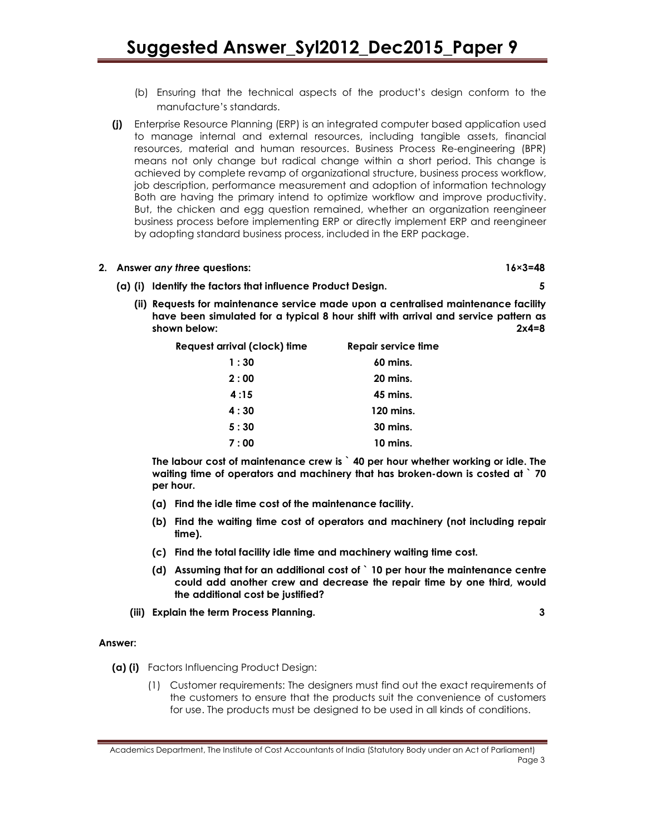- (b) Ensuring that the technical aspects of the product's design conform to the manufacture's standards.
- (j) Enterprise Resource Planning (ERP) is an integrated computer based application used to manage internal and external resources, including tangible assets, financial resources, material and human resources. Business Process Re-engineering (BPR) means not only change but radical change within a short period. This change is achieved by complete revamp of organizational structure, business process workflow, job description, performance measurement and adoption of information technology Both are having the primary intend to optimize workflow and improve productivity. But, the chicken and egg question remained, whether an organization reengineer business process before implementing ERP or directly implement ERP and reengineer by adopting standard business process, included in the ERP package.

# 2. Answer any three questions: 16×3=48

- (a) (i) Identify the factors that influence Product Design. 5
	- (ii) Requests for maintenance service made upon a centralised maintenance facility have been simulated for a typical 8 hour shift with arrival and service pattern as shown below: 2x4=8

| Request arrival (clock) time | Repair service time |
|------------------------------|---------------------|
| 1:30                         | $60$ mins.          |
| 2:00                         | 20 mins.            |
| 4:15                         | 45 mins.            |
| 4:30                         | 120 mins.           |
| 5:30                         | 30 mins.            |
| 7:00                         | $10 \text{ mins}$ . |

The labour cost of maintenance crew is ` 40 per hour whether working or idle. The waiting time of operators and machinery that has broken-down is costed at  $\degree$  70 per hour.

- (a) Find the idle time cost of the maintenance facility.
- (b) Find the waiting time cost of operators and machinery (not including repair time).
- (c) Find the total facility idle time and machinery waiting time cost.
- (d) Assuming that for an additional cost of ` 10 per hour the maintenance centre could add another crew and decrease the repair time by one third, would the additional cost be justified?
- (iii) Explain the term Process Planning. 3

# Answer:

- (a) (i) Factors Influencing Product Design:
	- (1) Customer requirements: The designers must find out the exact requirements of the customers to ensure that the products suit the convenience of customers for use. The products must be designed to be used in all kinds of conditions.

Academics Department, The Institute of Cost Accountants of India (Statutory Body under an Act of Parliament) Page 3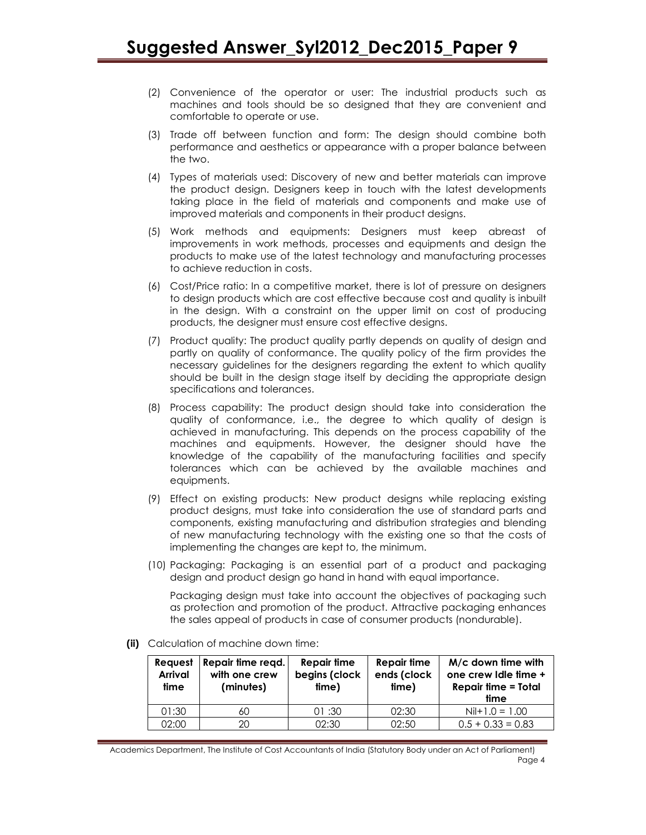- (2) Convenience of the operator or user: The industrial products such as machines and tools should be so designed that they are convenient and comfortable to operate or use.
- (3) Trade off between function and form: The design should combine both performance and aesthetics or appearance with a proper balance between the two.
- (4) Types of materials used: Discovery of new and better materials can improve the product design. Designers keep in touch with the latest developments taking place in the field of materials and components and make use of improved materials and components in their product designs.
- (5) Work methods and equipments: Designers must keep abreast of improvements in work methods, processes and equipments and design the products to make use of the latest technology and manufacturing processes to achieve reduction in costs.
- (6) Cost/Price ratio: In a competitive market, there is lot of pressure on designers to design products which are cost effective because cost and quality is inbuilt in the design. With a constraint on the upper limit on cost of producing products, the designer must ensure cost effective designs.
- (7) Product quality: The product quality partly depends on quality of design and partly on quality of conformance. The quality policy of the firm provides the necessary guidelines for the designers regarding the extent to which quality should be built in the design stage itself by deciding the appropriate design specifications and tolerances.
- (8) Process capability: The product design should take into consideration the quality of conformance, i.e., the degree to which quality of design is achieved in manufacturing. This depends on the process capability of the machines and equipments. However, the designer should have the knowledge of the capability of the manufacturing facilities and specify tolerances which can be achieved by the available machines and equipments.
- (9) Effect on existing products: New product designs while replacing existing product designs, must take into consideration the use of standard parts and components, existing manufacturing and distribution strategies and blending of new manufacturing technology with the existing one so that the costs of implementing the changes are kept to, the minimum.
- (10) Packaging: Packaging is an essential part of a product and packaging design and product design go hand in hand with equal importance.

Packaging design must take into account the objectives of packaging such as protection and promotion of the product. Attractive packaging enhances the sales appeal of products in case of consumer products (nondurable).

| Request<br><b>Arrival</b><br>time | Repair time regd.<br>with one crew<br>(minutes) | Repair time<br>begins (clock<br>time) | Repair time<br>ends (clock<br>time) | M/c down time with<br>one crew Idle time +<br><b>Repair time = Total</b><br>time |
|-----------------------------------|-------------------------------------------------|---------------------------------------|-------------------------------------|----------------------------------------------------------------------------------|
| 01:30                             | 60                                              | 01:30                                 | 02:30                               | $Nil+1.0 = 1.00$                                                                 |
| 02:00                             | 20                                              | 02:30                                 | 02:50                               | $0.5 + 0.33 = 0.83$                                                              |

(ii) Calculation of machine down time: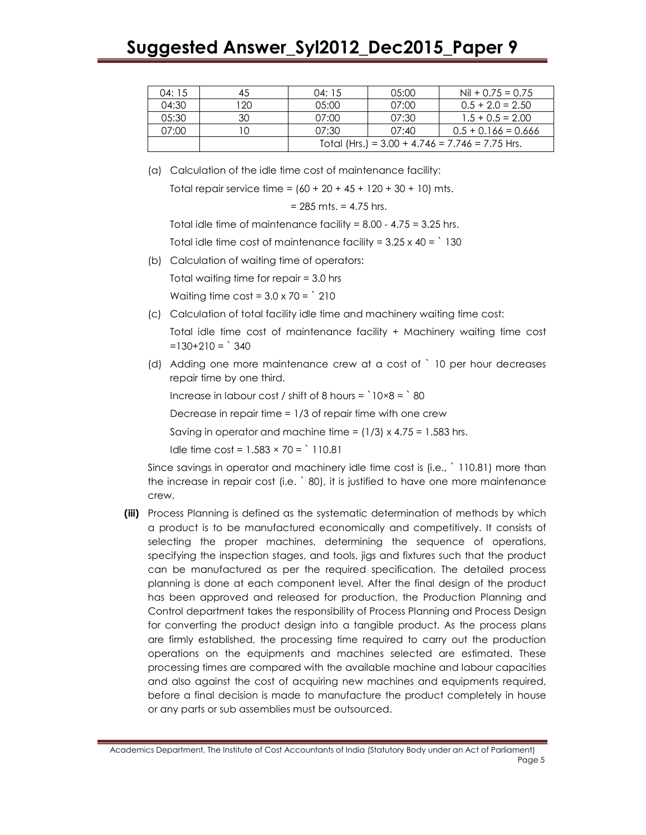# Suggested Answer\_Syl2012\_Dec2015\_Paper 9

| 04:15 | 45  | 04:15                                             | 0.5:00 | $Nil + 0.75 = 0.75$   |  |
|-------|-----|---------------------------------------------------|--------|-----------------------|--|
| 04:30 | 120 | 0.5:00                                            | 07:00  | $0.5 + 2.0 = 2.50$    |  |
| 05:30 | 30  | 07:00                                             | 07:30  | $1.5 + 0.5 = 2.00$    |  |
| 07:00 |     | 07:30                                             | 07:40  | $0.5 + 0.166 = 0.666$ |  |
|       |     | Total (Hrs.) = $3.00 + 4.746 = 7.746 = 7.75$ Hrs. |        |                       |  |

(a) Calculation of the idle time cost of maintenance facility:

Total repair service time =  $(60 + 20 + 45 + 120 + 30 + 10)$  mts.

$$
= 285
$$
 mts.  $= 4.75$  hrs.

Total idle time of maintenance facility = 8.00 - 4.75 = 3.25 hrs.

Total idle time cost of maintenance facility =  $3.25 \times 40 =$   $\degree$  130

(b) Calculation of waiting time of operators:

Total waiting time for repair = 3.0 hrs

Waiting time  $cost = 3.0 \times 70 = \degree 210$ 

(c) Calculation of total facility idle time and machinery waiting time cost:

Total idle time cost of maintenance facility + Machinery waiting time cost  $=130+210 =$  340

(d) Adding one more maintenance crew at a cost of ` 10 per hour decreases repair time by one third.

Increase in labour cost / shift of 8 hours =  $10\times8 = 80$ 

Decrease in repair time = 1/3 of repair time with one crew

Saving in operator and machine time =  $(1/3) \times 4.75 = 1.583$  hrs.

Idle time  $\cos t = 1.583 \times 70 = 110.81$ 

Since savings in operator and machinery idle time cost is (i.e., ` 110.81) more than the increase in repair cost (i.e. ` 80), it is justified to have one more maintenance crew.

(iii) Process Planning is defined as the systematic determination of methods by which a product is to be manufactured economically and competitively. It consists of selecting the proper machines, determining the sequence of operations, specifying the inspection stages, and tools, jigs and fixtures such that the product can be manufactured as per the required specification. The detailed process planning is done at each component level. After the final design of the product has been approved and released for production, the Production Planning and Control department takes the responsibility of Process Planning and Process Design for converting the product design into a tangible product. As the process plans are firmly established, the processing time required to carry out the production operations on the equipments and machines selected are estimated. These processing times are compared with the available machine and labour capacities and also against the cost of acquiring new machines and equipments required, before a final decision is made to manufacture the product completely in house or any parts or sub assemblies must be outsourced.

Academics Department, The Institute of Cost Accountants of India (Statutory Body under an Act of Parliament) Page 5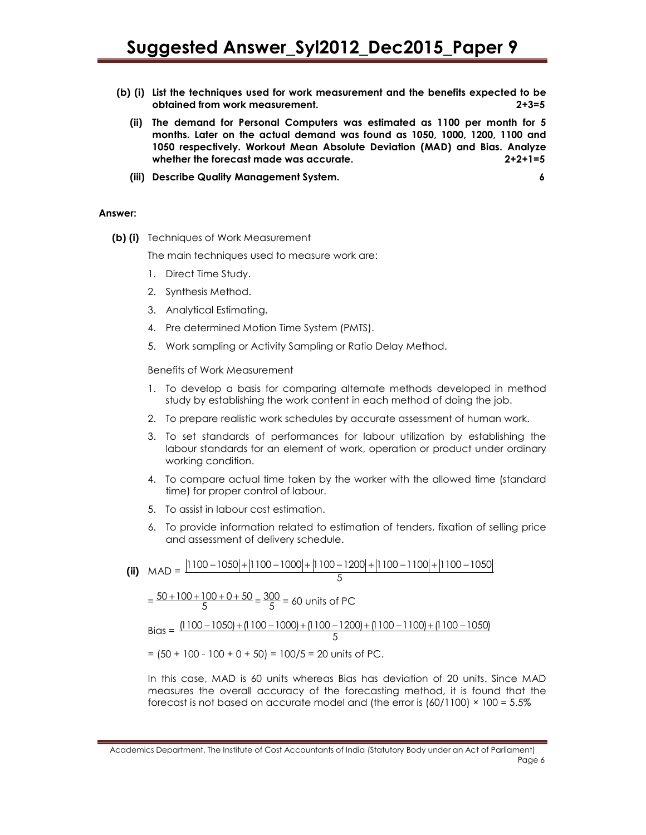- (b) (i) List the techniques used for work measurement and the benefits expected to be obtained from work measurement. 2+3=5
	- (ii) The demand for Personal Computers was estimated as 1100 per month for 5 months. Later on the actual demand was found as 1050, 1000, 1200, 1100 and 1050 respectively. Workout Mean Absolute Deviation (MAD) and Bias. Analyze whether the forecast made was accurate. 2+2+1=5
	- (iii) Describe Quality Management System. 6

#### Answer:

(b) (i) Techniques of Work Measurement

The main techniques used to measure work are:

- 1. Direct Time Study.
- 2. Synthesis Method.
- 3. Analytical Estimating.
- 4. Pre determined Motion Time System (PMTS).
- 5. Work sampling or Activity Sampling or Ratio Delay Method.

#### Benefits of Work Measurement

- 1. To develop a basis for comparing alternate methods developed in method study by establishing the work content in each method of doing the job.
- 2. To prepare realistic work schedules by accurate assessment of human work.
- 3. To set standards of performances for labour utilization by establishing the labour standards for an element of work, operation or product under ordinary working condition.
- 4. To compare actual time taken by the worker with the allowed time (standard time) for proper control of labour.
- 5. To assist in labour cost estimation.
- 6. To provide information related to estimation of tenders, fixation of selling price and assessment of delivery schedule.

(ii) 
$$
MAD = \frac{|1100 - 1050| + |1100 - 1000| + |1100 - 1200| + |1100 - 1100| + |1100 - 1050|}{5}
$$

$$
= \frac{50 + 100 + 100 + 0 + 50}{5} = \frac{300}{5} = 60 \text{ units of PC}
$$
  
Bias = 
$$
\frac{|1100 - 1050| + |1100 - 1000| + |1100 - 1200| + |1100 - 1100| + |1100 - 1050|}{5}
$$

$$
= (50 + 100 - 100 + 0 + 50) = 100/5 = 20 \text{ units of PC.}
$$

In this case, MAD is 60 units whereas Bias has deviation of 20 units. Since MAD measures the overall accuracy of the forecasting method, it is found that the forecast is not based on accurate model and (the error is  $(60/1100) \times 100 = 5.5\%$ )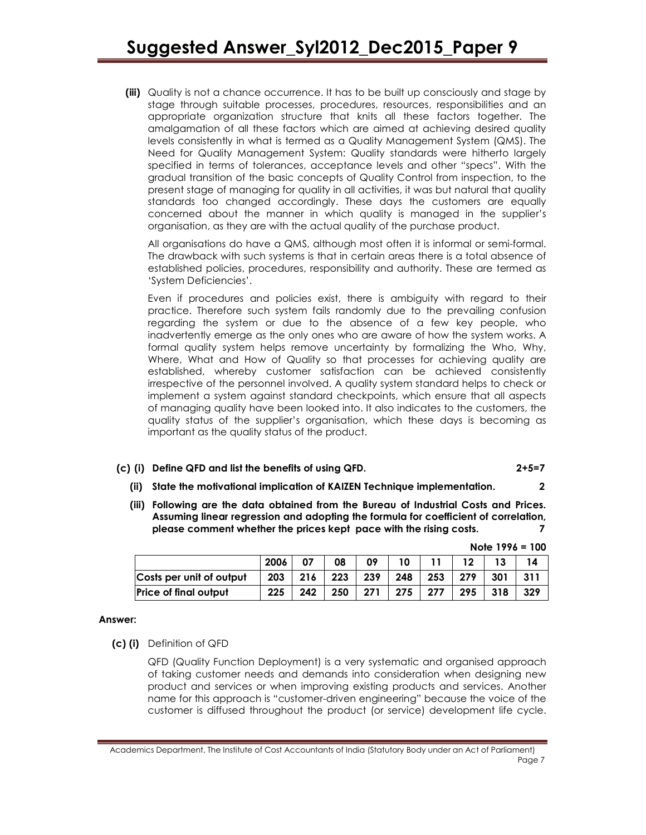(iii) Quality is not a chance occurrence. It has to be built up consciously and stage by stage through suitable processes, procedures, resources, responsibilities and an appropriate organization structure that knits all these factors together. The amalgamation of all these factors which are aimed at achieving desired quality levels consistently in what is termed as a Quality Management System (QMS). The Need for Quality Management System: Quality standards were hitherto largely specified in terms of tolerances, acceptance levels and other "specs". With the gradual transition of the basic concepts of Quality Control from inspection, to the present stage of managing for quality in all activities, it was but natural that quality standards too changed accordingly. These days the customers are equally concerned about the manner in which quality is managed in the supplier's organisation, as they are with the actual quality of the purchase product.

All organisations do have a QMS, although most often it is informal or semi-formal. The drawback with such systems is that in certain areas there is a total absence of established policies, procedures, responsibility and authority. These are termed as 'System Deficiencies'.

Even if procedures and policies exist, there is ambiguity with regard to their practice. Therefore such system fails randomly due to the prevailing confusion regarding the system or due to the absence of a few key people, who inadvertently emerge as the only ones who are aware of how the system works. A formal quality system helps remove uncertainty by formalizing the Who, Why, Where, What and How of Quality so that processes for achieving quality are established, whereby customer satisfaction can be achieved consistently irrespective of the personnel involved. A quality system standard helps to check or implement a system against standard checkpoints, which ensure that all aspects of managing quality have been looked into. It also indicates to the customers, the quality status of the supplier's organisation, which these days is becoming as important as the quality status of the product.

- (c) (i) Define QFD and list the benefits of using QFD. 2+5=7
	- (ii) State the motivational implication of KAIZEN Technique implementation. 2
	- (iii) Following are the data obtained from the Bureau of Industrial Costs and Prices. Assuming linear regression and adopting the formula for coefficient of correlation, please comment whether the prices kept pace with the rising costs. 7

|                          |      |     |                     |     |     |     |     | $110151110 - 100$ |     |
|--------------------------|------|-----|---------------------|-----|-----|-----|-----|-------------------|-----|
|                          | 2006 | 07  | 08                  | 09  | 10  |     |     |                   |     |
| Costs per unit of output | 203  | 216 | $\vert$ 223 $\vert$ | 239 | 248 | 253 | 279 | 301               | 311 |
| Price of final output    | 225  | 242 | 250                 | 271 | 275 | 277 | 295 | 318               | 329 |

# $Note 1996 = 100$

#### Answer:

(c) (i) Definition of QFD

QFD (Quality Function Deployment) is a very systematic and organised approach of taking customer needs and demands into consideration when designing new product and services or when improving existing products and services. Another name for this approach is "customer-driven engineering" because the voice of the customer is diffused throughout the product (or service) development life cycle.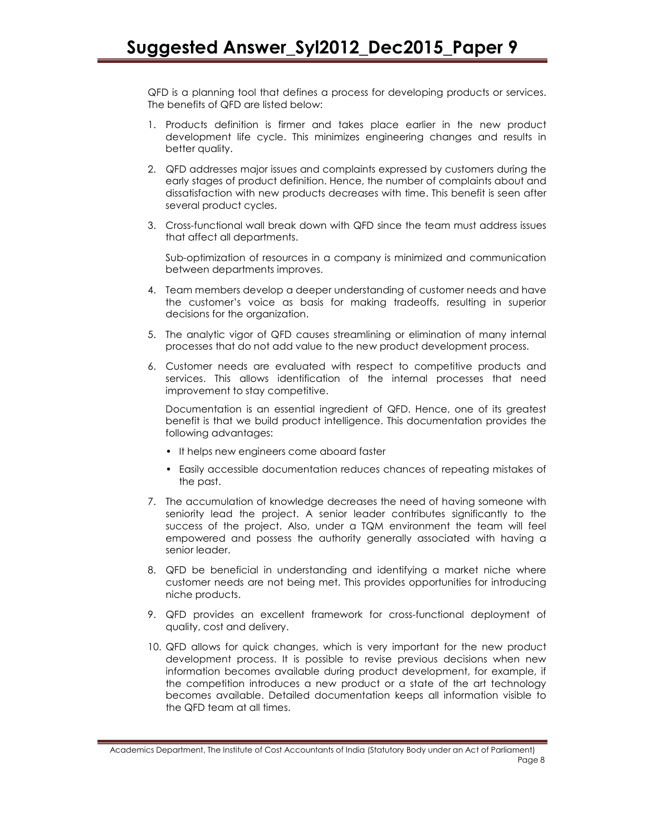QFD is a planning tool that defines a process for developing products or services. The benefits of QFD are listed below:

- 1. Products definition is firmer and takes place earlier in the new product development life cycle. This minimizes engineering changes and results in better quality.
- 2. QFD addresses major issues and complaints expressed by customers during the early stages of product definition. Hence, the number of complaints about and dissatisfaction with new products decreases with time. This benefit is seen after several product cycles.
- 3. Cross-functional wall break down with QFD since the team must address issues that affect all departments.

Sub-optimization of resources in a company is minimized and communication between departments improves.

- 4. Team members develop a deeper understanding of customer needs and have the customer's voice as basis for making tradeoffs, resulting in superior decisions for the organization.
- 5. The analytic vigor of QFD causes streamlining or elimination of many internal processes that do not add value to the new product development process.
- 6. Customer needs are evaluated with respect to competitive products and services. This allows identification of the internal processes that need improvement to stay competitive.

Documentation is an essential ingredient of QFD. Hence, one of its greatest benefit is that we build product intelligence. This documentation provides the following advantages:

- It helps new engineers come aboard faster
- Easily accessible documentation reduces chances of repeating mistakes of the past.
- 7. The accumulation of knowledge decreases the need of having someone with seniority lead the project. A senior leader contributes significantly to the success of the project. Also, under a TQM environment the team will feel empowered and possess the authority generally associated with having a senior leader.
- 8. QFD be beneficial in understanding and identifying a market niche where customer needs are not being met. This provides opportunities for introducing niche products.
- 9. QFD provides an excellent framework for cross-functional deployment of quality, cost and delivery.
- 10. QFD allows for quick changes, which is very important for the new product development process. It is possible to revise previous decisions when new information becomes available during product development, for example, if the competition introduces a new product or a state of the art technology becomes available. Detailed documentation keeps all information visible to the QFD team at all times.

Academics Department, The Institute of Cost Accountants of India (Statutory Body under an Act of Parliament) Page 8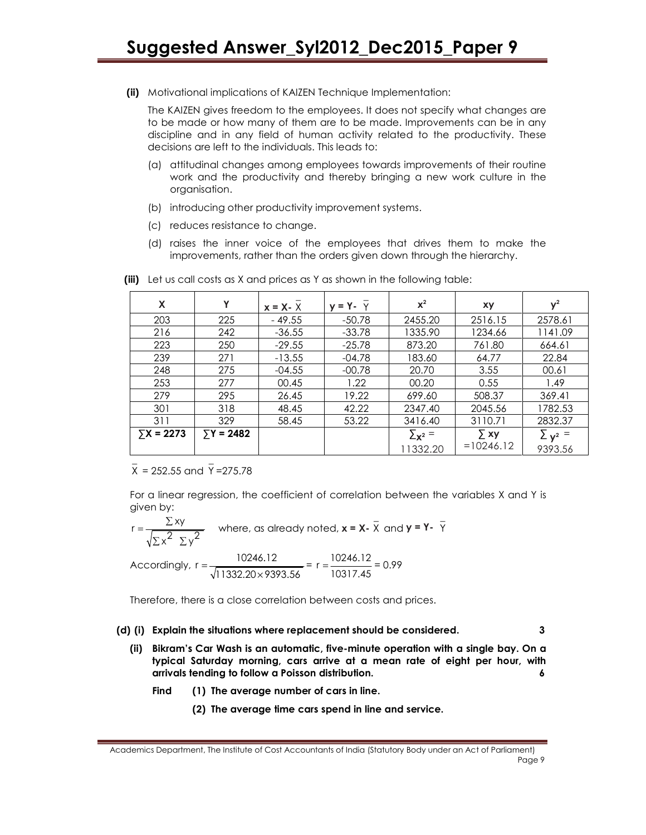(ii) Motivational implications of KAIZEN Technique Implementation:

The KAIZEN gives freedom to the employees. It does not specify what changes are to be made or how many of them are to be made. Improvements can be in any discipline and in any field of human activity related to the productivity. These decisions are left to the individuals. This leads to:

- (a) attitudinal changes among employees towards improvements of their routine work and the productivity and thereby bringing a new work culture in the organisation.
- (b) introducing other productivity improvement systems.
- (c) reduces resistance to change.
- (d) raises the inner voice of the employees that drives them to make the improvements, rather than the orders given down through the hierarchy.

| X                 | Y          | $x = X - X$ | $y = Y - Y$ | $x^2$                   | xy          | $\mathsf{v}^2$          |
|-------------------|------------|-------------|-------------|-------------------------|-------------|-------------------------|
| 203               | 225        | $-49.55$    | $-50.78$    | 2455.20                 | 2516.15     | 2578.61                 |
| 216               | 242        | $-36.55$    | $-33.78$    | 1335.90                 | 1234.66     | 1141.09                 |
| 223               | 250        | $-29.55$    | $-25.78$    | 873.20                  | 761.80      | 664.61                  |
| 239               | 271        | $-13.55$    | $-04.78$    | 183.60                  | 64.77       | 22.84                   |
| 248               | 275        | $-04.55$    | $-00.78$    | 20.70                   | 3.55        | 00.61                   |
| 253               | 277        | 00.45       | 1.22        | 00.20                   | 0.55        | 1.49                    |
| 279               | 295        | 26.45       | 19.22       | 699.60                  | 508.37      | 369.41                  |
| 301               | 318        | 48.45       | 42.22       | 2347.40                 | 2045.56     | 1782.53                 |
| 311               | 329        | 58.45       | 53.22       | 3416.40                 | 3110.71     | 2832.37                 |
| $\Sigma$ X = 2273 | $Y = 2482$ |             |             | $\sum_{\mathbf{X}^2}$ = | $\Sigma$ xy | $\sum$ $\mathsf{v}^2$ = |
|                   |            |             |             | 11332.20                | $=10246.12$ | 9393.56                 |

(iii) Let us call costs as X and prices as Y as shown in the following table:

\_ X = 252.55 and \_ Y =275.78

For a linear regression, the coefficient of correlation between the variables X and Y is given by:  $\overline{a}$ 

$$
r = \frac{\sum xy}{\sqrt{\sum x^2 \sum y^2}}
$$
 where, as already noted,  $x = X - \overline{X}$  and  $y = Y - \overline{Y}$ 

Accordingly, 
$$
r = \frac{10246.12}{\sqrt{11332.20 \times 9393.56}} = r = \frac{10246.12}{10317.45} = 0.99
$$

Therefore, there is a close correlation between costs and prices.

#### (d) (i) Explain the situations where replacement should be considered. 3

- (ii) Bikram's Car Wash is an automatic, five-minute operation with a single bay. On a typical Saturday morning, cars arrive at a mean rate of eight per hour, with arrivals tending to follow a Poisson distribution. 6
	- Find (1) The average number of cars in line.
		- (2) The average time cars spend in line and service.

Academics Department, The Institute of Cost Accountants of India (Statutory Body under an Act of Parliament) Page 9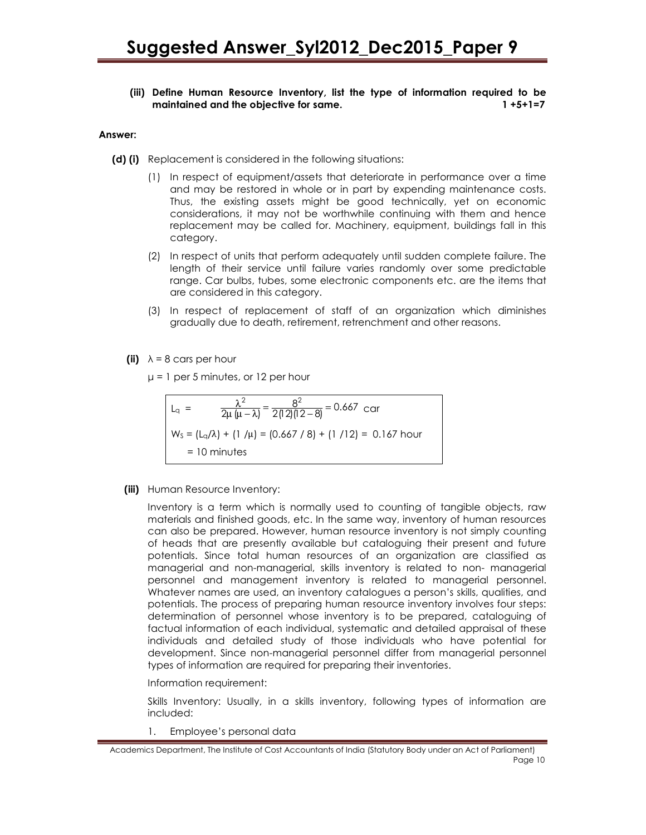# (iii) Define Human Resource Inventory, list the type of information required to be maintained and the objective for same. 1 +5+1=7

#### Answer:

- (d) (i) Replacement is considered in the following situations:
	- (1) In respect of equipment/assets that deteriorate in performance over a time and may be restored in whole or in part by expending maintenance costs. Thus, the existing assets might be good technically, yet on economic considerations, it may not be worthwhile continuing with them and hence replacement may be called for. Machinery, equipment, buildings fall in this category.
	- (2) In respect of units that perform adequately until sudden complete failure. The length of their service until failure varies randomly over some predictable range. Car bulbs, tubes, some electronic components etc. are the items that are considered in this category.
	- (3) In respect of replacement of staff of an organization which diminishes gradually due to death, retirement, retrenchment and other reasons.
	- (ii)  $\lambda = 8$  cars per hour

 $\mu$  = 1 per 5 minutes, or 12 per hour

$$
L_q = \frac{\lambda^2}{2\mu(\mu - \lambda)} = \frac{8^2}{2(12)(12 - 8)} = 0.667 \text{ car}
$$
  
W<sub>S</sub> =  $(L_q/\lambda) + (1/\mu) = (0.667 / 8) + (1/12) = 0.167 \text{ hour}$   
= 10 minutes

(iii) Human Resource Inventory:

Inventory is a term which is normally used to counting of tangible objects, raw materials and finished goods, etc. In the same way, inventory of human resources can also be prepared. However, human resource inventory is not simply counting of heads that are presently available but cataloguing their present and future potentials. Since total human resources of an organization are classified as managerial and non-managerial, skills inventory is related to non- managerial personnel and management inventory is related to managerial personnel. Whatever names are used, an inventory catalogues a person's skills, qualities, and potentials. The process of preparing human resource inventory involves four steps: determination of personnel whose inventory is to be prepared, cataloguing of factual information of each individual, systematic and detailed appraisal of these individuals and detailed study of those individuals who have potential for development. Since non-managerial personnel differ from managerial personnel types of information are required for preparing their inventories.

Information requirement:

Skills Inventory: Usually, in a skills inventory, following types of information are included:

1. Employee's personal data

Academics Department, The Institute of Cost Accountants of India (Statutory Body under an Act of Parliament) Page 10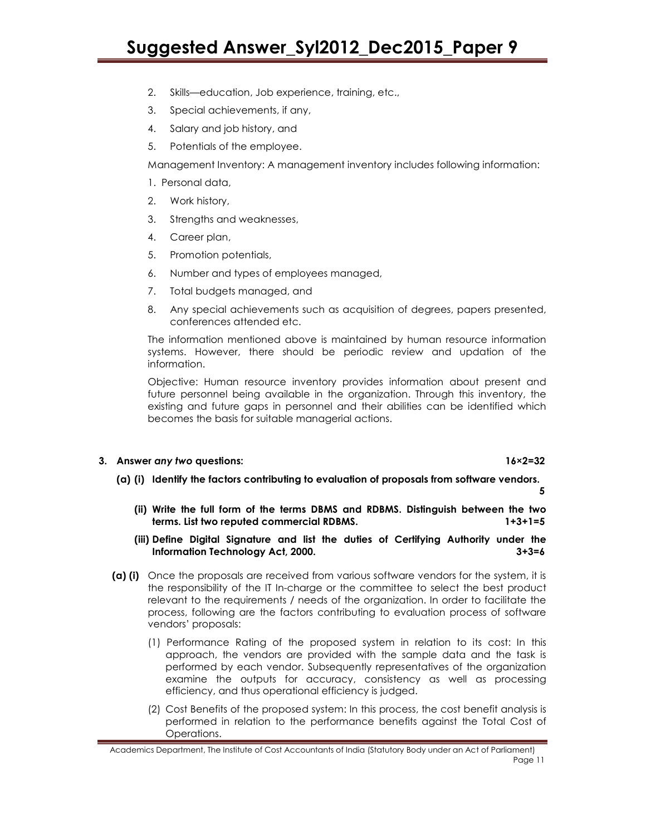# Suggested Answer\_Syl2012\_Dec2015\_Paper 9

- 2. Skills—education, Job experience, training, etc.,
- 3. Special achievements, if any,
- 4. Salary and job history, and
- 5. Potentials of the employee.

Management Inventory: A management inventory includes following information:

- 1. Personal data,
- 2. Work history,
- 3. Strengths and weaknesses,
- 4. Career plan,
- 5. Promotion potentials,
- 6. Number and types of employees managed,
- 7. Total budgets managed, and
- 8. Any special achievements such as acquisition of degrees, papers presented, conferences attended etc.

The information mentioned above is maintained by human resource information systems. However, there should be periodic review and updation of the information.

Objective: Human resource inventory provides information about present and future personnel being available in the organization. Through this inventory, the existing and future gaps in personnel and their abilities can be identified which becomes the basis for suitable managerial actions.

### 3. Answer any two questions: 16×2=32

### (a) (i) Identify the factors contributing to evaluation of proposals from software vendors.

5

- (ii) Write the full form of the terms DBMS and RDBMS. Distinguish between the two terms. List two reputed commercial RDBMS. 1+3+1=5
- (iii) Define Digital Signature and list the duties of Certifying Authority under the Information Technology Act, 2000. <br>3+3=6
- (a) (i) Once the proposals are received from various software vendors for the system, it is the responsibility of the IT In-charge or the committee to select the best product relevant to the requirements / needs of the organization. In order to facilitate the process, following are the factors contributing to evaluation process of software vendors' proposals:
	- (1) Performance Rating of the proposed system in relation to its cost: In this approach, the vendors are provided with the sample data and the task is performed by each vendor. Subsequently representatives of the organization examine the outputs for accuracy, consistency as well as processing efficiency, and thus operational efficiency is judged.
	- (2) Cost Benefits of the proposed system: In this process, the cost benefit analysis is performed in relation to the performance benefits against the Total Cost of Operations.

Academics Department, The Institute of Cost Accountants of India (Statutory Body under an Act of Parliament) Page 11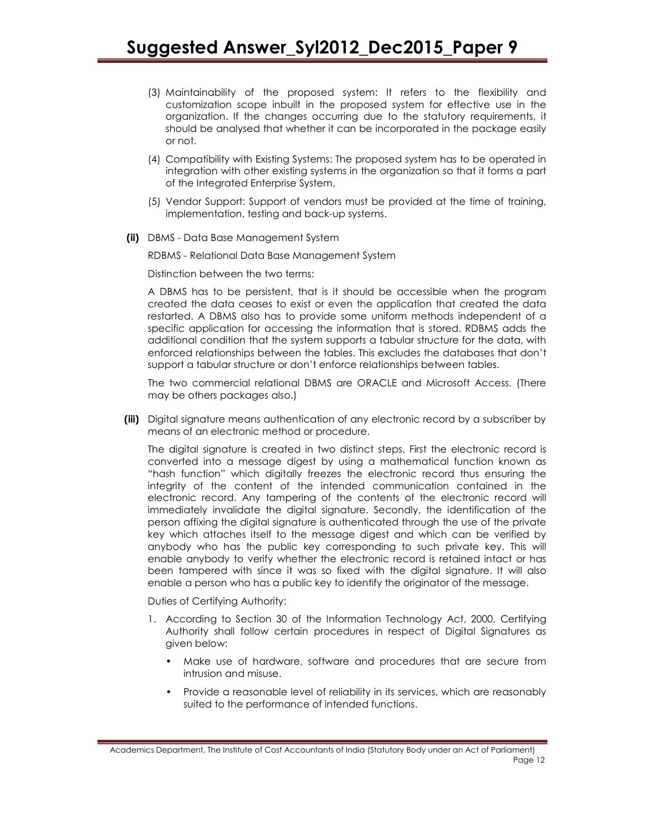- (3) Maintainability of the proposed system: It refers to the flexibility and customization scope inbuilt in the proposed system for effective use in the organization. If the changes occurring due to the statutory requirements, it should be analysed that whether it can be incorporated in the package easily or not.
- (4) Compatibility with Existing Systems: The proposed system has to be operated in integration with other existing systems in the organization so that it forms a part of the Integrated Enterprise System.
- (5) Vendor Support: Support of vendors must be provided at the time of training, implementation, testing and back-up systems.
- (ii) DBMS Data Base Management System

RDBMS - Relational Data Base Management System

Distinction between the two terms:

A DBMS has to be persistent, that is it should be accessible when the program created the data ceases to exist or even the application that created the data restarted. A DBMS also has to provide some uniform methods independent of a specific application for accessing the information that is stored. RDBMS adds the additional condition that the system supports a tabular structure for the data, with enforced relationships between the tables. This excludes the databases that don't support a tabular structure or don't enforce relationships between tables.

The two commercial relational DBMS are ORACLE and Microsoft Access. (There may be others packages also.)

(iii) Digital signature means authentication of any electronic record by a subscriber by means of an electronic method or procedure.

The digital signature is created in two distinct steps. First the electronic record is converted into a message digest by using a mathematical function known as "hash function" which digitally freezes the electronic record thus ensuring the integrity of the content of the intended communication contained in the electronic record. Any tampering of the contents of the electronic record will immediately invalidate the digital signature. Secondly, the identification of the person affixing the digital signature is authenticated through the use of the private key which attaches itself to the message digest and which can be verified by anybody who has the public key corresponding to such private key. This will enable anybody to verify whether the electronic record is retained intact or has been tampered with since it was so fixed with the digital signature. It will also enable a person who has a public key to identify the originator of the message.

Duties of Certifying Authority:

- 1. According to Section 30 of the Information Technology Act, 2000, Certifying Authority shall follow certain procedures in respect of Digital Signatures as given below:
	- Make use of hardware, software and procedures that are secure from intrusion and misuse.
	- Provide a reasonable level of reliability in its services, which are reasonably suited to the performance of intended functions.

Academics Department, The Institute of Cost Accountants of India (Statutory Body under an Act of Parliament) Page 12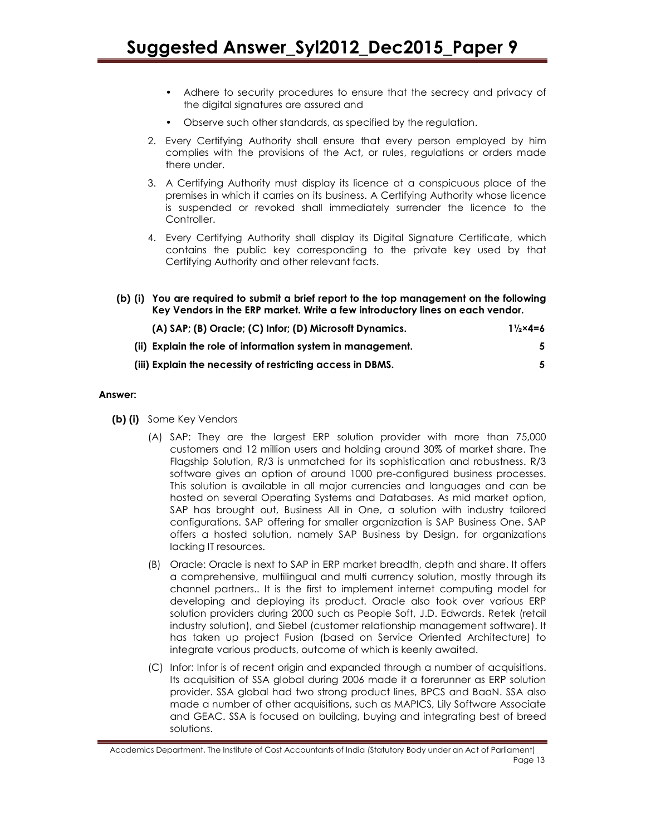- Adhere to security procedures to ensure that the secrecy and privacy of the digital signatures are assured and
- Observe such other standards, as specified by the regulation.
- 2. Every Certifying Authority shall ensure that every person employed by him complies with the provisions of the Act, or rules, regulations or orders made there under.
- 3. A Certifying Authority must display its licence at a conspicuous place of the premises in which it carries on its business. A Certifying Authority whose licence is suspended or revoked shall immediately surrender the licence to the Controller.
- 4. Every Certifying Authority shall display its Digital Signature Certificate, which contains the public key corresponding to the private key used by that Certifying Authority and other relevant facts.
- (b) (i) You are required to submit a brief report to the top management on the following Key Vendors in the ERP market. Write a few introductory lines on each vendor. (A) SAP; (B) Oracle; (C) Infor; (D) Microsoft Dynamics.  $1\frac{1}{2} \times 4 = 6$

| (ii) Explain the role of information system in management. |  |
|------------------------------------------------------------|--|
| (iii) Explain the necessity of restricting access in DBMS. |  |

### Answer:

- (b) (i) Some Key Vendors
	- (A) SAP: They are the largest ERP solution provider with more than 75,000 customers and 12 million users and holding around 30% of market share. The Flagship Solution, R/3 is unmatched for its sophistication and robustness. R/3 software gives an option of around 1000 pre-configured business processes. This solution is available in all major currencies and languages and can be hosted on several Operating Systems and Databases. As mid market option, SAP has brought out, Business All in One, a solution with industry tailored configurations. SAP offering for smaller organization is SAP Business One. SAP offers a hosted solution, namely SAP Business by Design, for organizations lacking IT resources.
	- (B) Oracle: Oracle is next to SAP in ERP market breadth, depth and share. It offers a comprehensive, multilingual and multi currency solution, mostly through its channel partners.. It is the first to implement internet computing model for developing and deploying its product. Oracle also took over various ERP solution providers during 2000 such as People Soft, J.D. Edwards. Retek (retail industry solution), and Siebel (customer relationship management software). It has taken up project Fusion (based on Service Oriented Architecture) to integrate various products, outcome of which is keenly awaited.
	- (C) Infor: Infor is of recent origin and expanded through a number of acquisitions. Its acquisition of SSA global during 2006 made it a forerunner as ERP solution provider. SSA global had two strong product lines, BPCS and BaaN. SSA also made a number of other acquisitions, such as MAPICS, Lily Software Associate and GEAC. SSA is focused on building, buying and integrating best of breed solutions.

Academics Department, The Institute of Cost Accountants of India (Statutory Body under an Act of Parliament) Page 13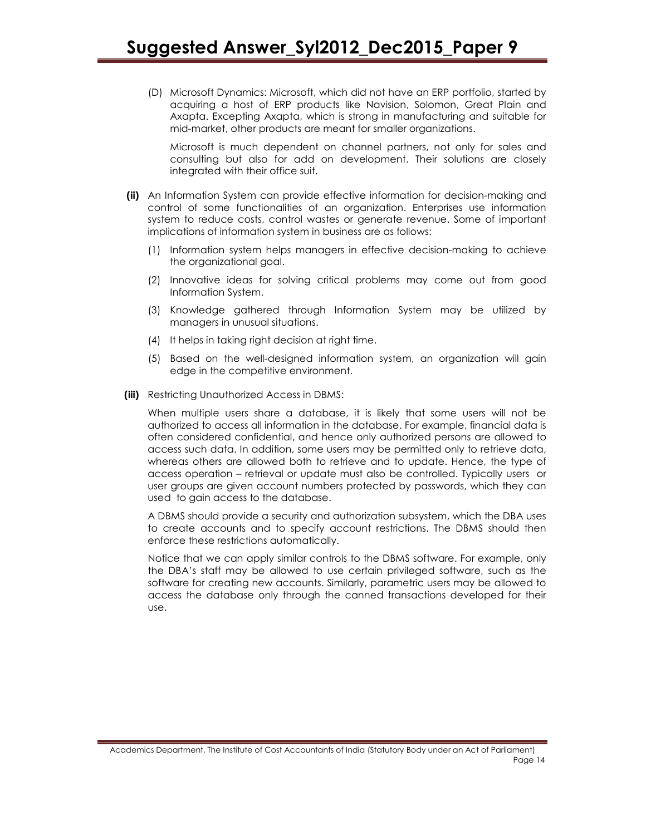(D) Microsoft Dynamics: Microsoft, which did not have an ERP portfolio, started by acquiring a host of ERP products like Navision, Solomon, Great Plain and Axapta. Excepting Axapta, which is strong in manufacturing and suitable for mid-market, other products are meant for smaller organizations.

Microsoft is much dependent on channel partners, not only for sales and consulting but also for add on development. Their solutions are closely integrated with their office suit.

- (ii) An Information System can provide effective information for decision-making and control of some functionalities of an organization. Enterprises use information system to reduce costs, control wastes or generate revenue. Some of important implications of information system in business are as follows:
	- (1) Information system helps managers in effective decision-making to achieve the organizational goal.
	- (2) Innovative ideas for solving critical problems may come out from good Information System.
	- (3) Knowledge gathered through Information System may be utilized by managers in unusual situations.
	- (4) It helps in taking right decision at right time.
	- (5) Based on the well-designed information system, an organization will gain edge in the competitive environment.
- (iii) Restricting Unauthorized Access in DBMS:

When multiple users share a database, it is likely that some users will not be authorized to access all information in the database. For example, financial data is often considered confidential, and hence only authorized persons are allowed to access such data. In addition, some users may be permitted only to retrieve data, whereas others are allowed both to retrieve and to update. Hence, the type of access operation – retrieval or update must also be controlled. Typically users or user groups are given account numbers protected by passwords, which they can used to gain access to the database.

A DBMS should provide a security and authorization subsystem, which the DBA uses to create accounts and to specify account restrictions. The DBMS should then enforce these restrictions automatically.

Notice that we can apply similar controls to the DBMS software. For example, only the DBA's staff may be allowed to use certain privileged software, such as the software for creating new accounts. Similarly, parametric users may be allowed to access the database only through the canned transactions developed for their use.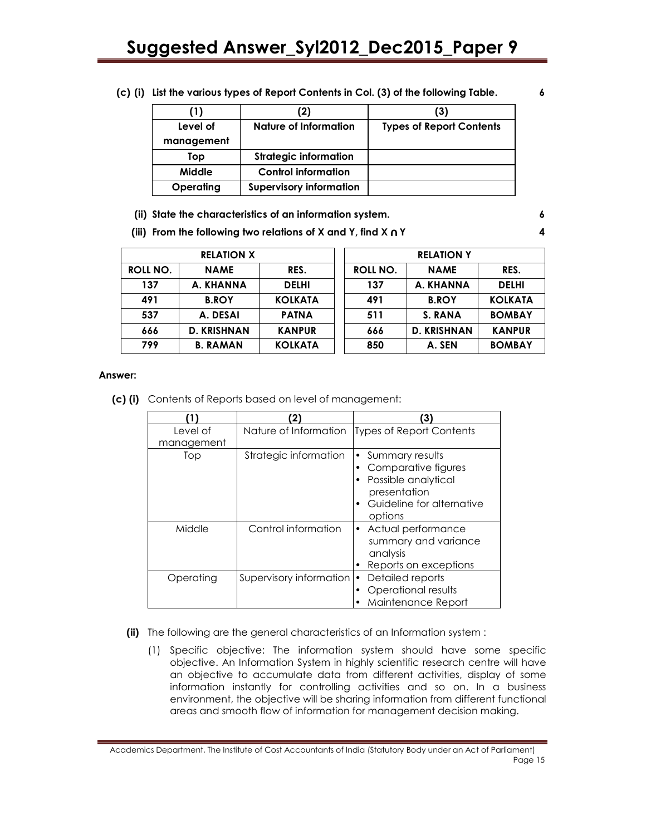# Suggested Answer\_Syl2012\_Dec2015\_Paper 9

| (1)        | (2)                            | (3)                             |
|------------|--------------------------------|---------------------------------|
| Level of   | Nature of Information          | <b>Types of Report Contents</b> |
| management |                                |                                 |
| Top        | <b>Strategic information</b>   |                                 |
| Middle     | <b>Control information</b>     |                                 |
| Operating  | <b>Supervisory information</b> |                                 |

(c) (i) List the various types of Report Contents in Col. (3) of the following Table. 6

| (ii) State the characteristics of an information system. |  |
|----------------------------------------------------------|--|
|----------------------------------------------------------|--|

(iii) From the following two relations of X and Y, find X ∩ Y 44

|          | <b>RELATION X</b>  |                |          | <b>RELATION Y</b>  |                |
|----------|--------------------|----------------|----------|--------------------|----------------|
| ROLL NO. | <b>NAME</b>        | RES.           | ROLL NO. | <b>NAME</b>        | RES.           |
| 137      | A. KHANNA          | <b>DELHI</b>   | 137      | A. KHANNA          | <b>DELHI</b>   |
| 491      | <b>B.ROY</b>       | <b>KOLKATA</b> | 491      | <b>B.ROY</b>       | <b>KOLKATA</b> |
| 537      | A. DESAI           | <b>PATNA</b>   | 511      | S. RANA            | <b>BOMBAY</b>  |
| 666      | <b>D. KRISHNAN</b> | <b>KANPUR</b>  | 666      | <b>D. KRISHNAN</b> | <b>KANPUR</b>  |
| 799      | <b>B. RAMAN</b>    | <b>KOLKATA</b> | 850      | A. SEN             | <b>BOMBAY</b>  |

#### Answer:

(c) (i) Contents of Reports based on level of management:

|            |                         | 3)                                                                                                                    |
|------------|-------------------------|-----------------------------------------------------------------------------------------------------------------------|
| Level of   | Nature of Information   | Types of Report Contents                                                                                              |
| management |                         |                                                                                                                       |
| Top        | Strategic information   | Summary results<br>Comparative figures<br>Possible analytical<br>presentation<br>Guideline for alternative<br>options |
| Middle     | Control information     | • Actual performance<br>summary and variance<br>analysis<br>Reports on exceptions                                     |
| Operating  | Supervisory information | Detailed reports<br>Operational results<br>Maintenance Report                                                         |

- (ii) The following are the general characteristics of an Information system :
	- (1) Specific objective: The information system should have some specific objective. An Information System in highly scientific research centre will have an objective to accumulate data from different activities, display of some information instantly for controlling activities and so on. In a business environment, the objective will be sharing information from different functional areas and smooth flow of information for management decision making.